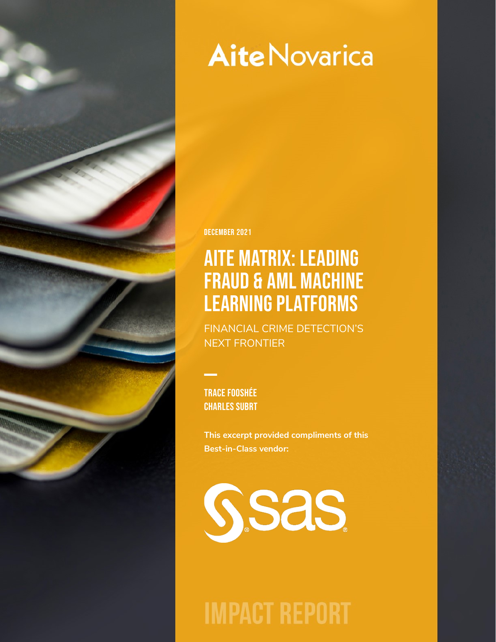

# **Aite Novarica**

December 2021

# Aite Matrix: Leading Fraud & AML Machine Learning Platforms

FINANCIAL CRIME DETECTION'S NEXT FRONTIER

Trace Fooshée Charles Subrt

**This excerpt provided compliments of this Best-in-Class vendor:** 



**IMPACT REPORT**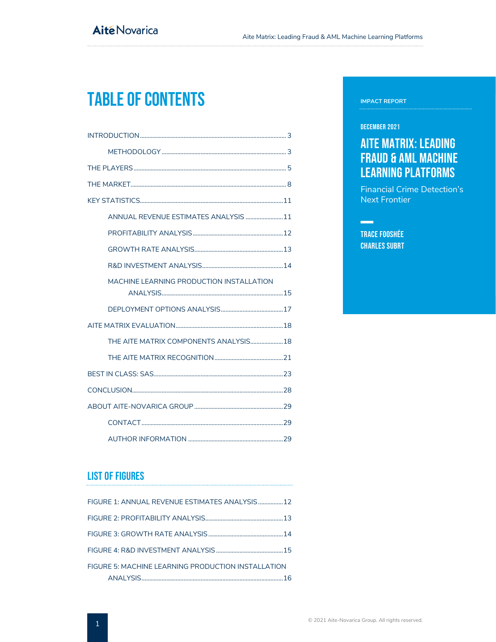# Table of Contents

| ANNUAL REVENUE ESTIMATES ANALYSIS 11      |
|-------------------------------------------|
|                                           |
|                                           |
|                                           |
| MACHINE I FARNING PRODUCTION INSTALLATION |
|                                           |
|                                           |
| THE AITE MATRIX COMPONENTS ANALYSIS18     |
|                                           |
|                                           |
|                                           |
|                                           |
|                                           |
|                                           |

# List of Figures

| FIGURE 1: ANNUAL REVENUE ESTIMATES ANALYSIS  12    |
|----------------------------------------------------|
|                                                    |
|                                                    |
|                                                    |
| FIGURE 5: MACHINE LEARNING PRODUCTION INSTALLATION |
|                                                    |

#### **IMPACT REPORT**

#### December 2021

# Aite Matrix: Leading Fraud & AML Machine Learning Platforms

Financial Crime Detection's Next Frontier

Trace Fooshée Charles Subrt

**Contract Contract State**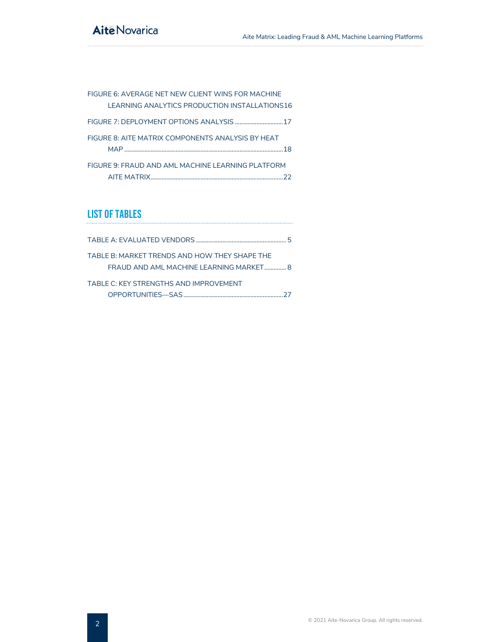# **Aité Novarica**

| FIGURE 6: AVERAGE NET NEW CLIENT WINS FOR MACHINE |
|---------------------------------------------------|
| LEARNING ANALYTICS PRODUCTION INSTALLATIONS16     |
|                                                   |
| FIGURE 8: AITE MATRIX COMPONENTS ANALYSIS BY HEAT |
| -18                                               |
| FIGURE 9: FRAUD AND AML MACHINE LEARNING PLATEORM |
|                                                   |

# List of Tables

|                                                                                          | Б. |
|------------------------------------------------------------------------------------------|----|
| TABLE B: MARKET TRENDS AND HOW THEY SHAPE THE<br>FRAUD AND AML MACHINE LEARNING MARKET 8 |    |
| TABLE C: KEY STRENGTHS AND IMPROVEMENT                                                   |    |
|                                                                                          |    |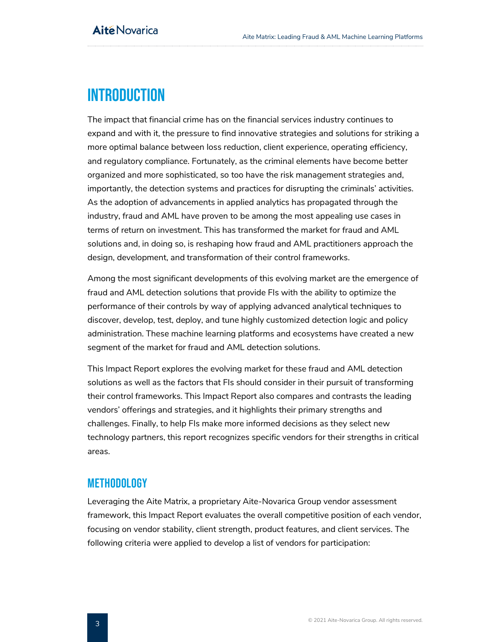# <span id="page-3-0"></span>**INTRODUCTION**

The impact that financial crime has on the financial services industry continues to expand and with it, the pressure to find innovative strategies and solutions for striking a more optimal balance between loss reduction, client experience, operating efficiency, and regulatory compliance. Fortunately, as the criminal elements have become better organized and more sophisticated, so too have the risk management strategies and, importantly, the detection systems and practices for disrupting the criminals' activities. As the adoption of advancements in applied analytics has propagated through the industry, fraud and AML have proven to be among the most appealing use cases in terms of return on investment. This has transformed the market for fraud and AML solutions and, in doing so, is reshaping how fraud and AML practitioners approach the design, development, and transformation of their control frameworks.

Among the most significant developments of this evolving market are the emergence of fraud and AML detection solutions that provide FIs with the ability to optimize the performance of their controls by way of applying advanced analytical techniques to discover, develop, test, deploy, and tune highly customized detection logic and policy administration. These machine learning platforms and ecosystems have created a new segment of the market for fraud and AML detection solutions.

This Impact Report explores the evolving market for these fraud and AML detection solutions as well as the factors that FIs should consider in their pursuit of transforming their control frameworks. This Impact Report also compares and contrasts the leading vendors' offerings and strategies, and it highlights their primary strengths and challenges. Finally, to help FIs make more informed decisions as they select new technology partners, this report recognizes specific vendors for their strengths in critical areas.

## <span id="page-3-1"></span>**METHODOLOGY**

Leveraging the Aite Matrix, a proprietary Aite-Novarica Group vendor assessment framework, this Impact Report evaluates the overall competitive position of each vendor, focusing on vendor stability, client strength, product features, and client services. The following criteria were applied to develop a list of vendors for participation: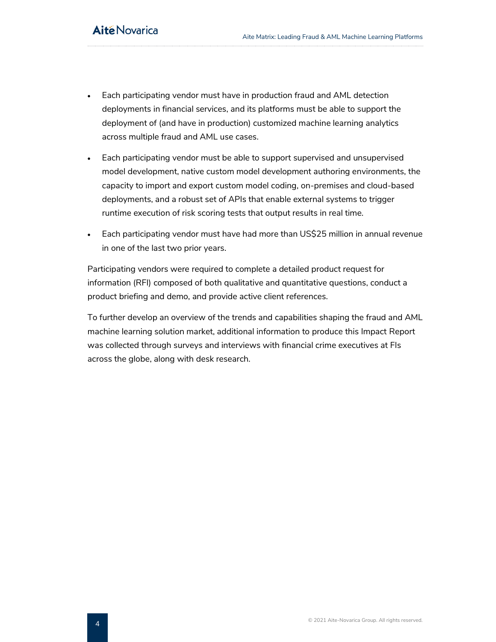- Each participating vendor must have in production fraud and AML detection deployments in financial services, and its platforms must be able to support the deployment of (and have in production) customized machine learning analytics across multiple fraud and AML use cases.
- Each participating vendor must be able to support supervised and unsupervised model development, native custom model development authoring environments, the capacity to import and export custom model coding, on-premises and cloud-based deployments, and a robust set of APIs that enable external systems to trigger runtime execution of risk scoring tests that output results in real time.
- Each participating vendor must have had more than US\$25 million in annual revenue in one of the last two prior years.

Participating vendors were required to complete a detailed product request for information (RFI) composed of both qualitative and quantitative questions, conduct a product briefing and demo, and provide active client references.

To further develop an overview of the trends and capabilities shaping the fraud and AML machine learning solution market, additional information to produce this Impact Report was collected through surveys and interviews with financial crime executives at FIs across the globe, along with desk research.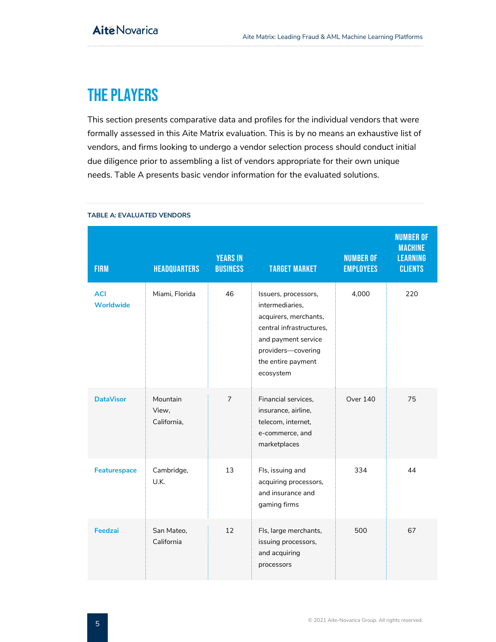# <span id="page-5-0"></span>The Players

This section presents comparative data and profiles for the individual vendors that were formally assessed in this Aite Matrix evaluation. This is by no means an exhaustive list of vendors, and firms looking to undergo a vendor selection process should conduct initial due diligence prior to assembling a list of vendors appropriate for their own unique needs. Table A presents basic vendor information for the evaluated solutions.

| <b>FIRM</b>                    | <b>HEADQUARTERS</b>              | <b>YEARS IN</b><br><b>BUSINESS</b> | <b>TARGET MARKET</b>                                                                                                                                                         | <b>NUMBER OF</b><br><b>EMPLOYEES</b> | <b>NUMBER OF</b><br><b>MACHINE</b><br><b>LEARNING</b><br><b>CLIENTS</b> |
|--------------------------------|----------------------------------|------------------------------------|------------------------------------------------------------------------------------------------------------------------------------------------------------------------------|--------------------------------------|-------------------------------------------------------------------------|
| <b>ACI</b><br><b>Worldwide</b> | Miami, Florida                   | 46                                 | Issuers, processors,<br>intermediaries.<br>acquirers, merchants,<br>central infrastructures,<br>and payment service<br>providers-covering<br>the entire payment<br>ecosystem | 4,000                                | 220                                                                     |
| <b>DataVisor</b>               | Mountain<br>View,<br>California, | $\overline{7}$                     | Financial services,<br>insurance, airline,<br>telecom, internet,<br>e-commerce, and<br>marketplaces                                                                          | Over 140                             | 75                                                                      |
| Featurespace                   | Cambridge,<br>U.K.               | 13                                 | Fls, issuing and<br>acquiring processors,<br>and insurance and<br>gaming firms                                                                                               | 334                                  | 44                                                                      |
| Feedzai                        | San Mateo,<br>California         | 12                                 | Fls, large merchants,<br>issuing processors,<br>and acquiring<br>processors                                                                                                  | 500                                  | 67                                                                      |

#### <span id="page-5-1"></span>**TABLE A: EVALUATED VENDORS**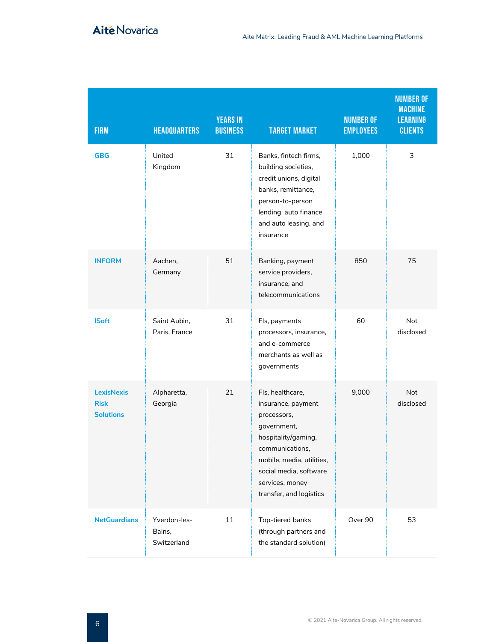| <b>FIRM</b>                                          | <b>HEADQUARTERS</b>                   | <b>YEARS IN</b><br><b>BUSINESS</b> | <b>TARGET MARKET</b>                                                                                                                                                                                                | <b>NUMBER OF</b><br><b>EMPLOYEES</b> | <b>NUMBER OF</b><br><b>MACHINE</b><br><b>LEARNING</b><br><b>CLIENTS</b> |
|------------------------------------------------------|---------------------------------------|------------------------------------|---------------------------------------------------------------------------------------------------------------------------------------------------------------------------------------------------------------------|--------------------------------------|-------------------------------------------------------------------------|
| <b>GBG</b>                                           | United<br>Kingdom                     | 31                                 | Banks, fintech firms,<br>building societies,<br>credit unions, digital<br>banks, remittance,<br>person-to-person<br>lending, auto finance<br>and auto leasing, and<br>insurance                                     | 1,000                                | 3                                                                       |
| <b>INFORM</b>                                        | Aachen,<br>Germany                    | 51                                 | Banking, payment<br>service providers,<br>insurance, and<br>telecommunications                                                                                                                                      | 850                                  | 75                                                                      |
| <b>ISoft</b>                                         | Saint Aubin,<br>Paris, France         | 31                                 | Fls, payments<br>processors, insurance,<br>and e-commerce<br>merchants as well as<br>governments                                                                                                                    | 60                                   | <b>Not</b><br>disclosed                                                 |
| <b>LexisNexis</b><br><b>Risk</b><br><b>Solutions</b> | Alpharetta,<br>Georgia                | 21                                 | Fls, healthcare,<br>insurance, payment<br>processors,<br>government,<br>hospitality/gaming,<br>communications.<br>mobile, media, utilities,<br>social media, software<br>services, money<br>transfer, and logistics | 9,000                                | <b>Not</b><br>disclosed                                                 |
| <b>NetGuardians</b>                                  | Yverdon-les-<br>Bains,<br>Switzerland | 11                                 | Top-tiered banks<br>(through partners and<br>the standard solution)                                                                                                                                                 | Over 90                              | 53                                                                      |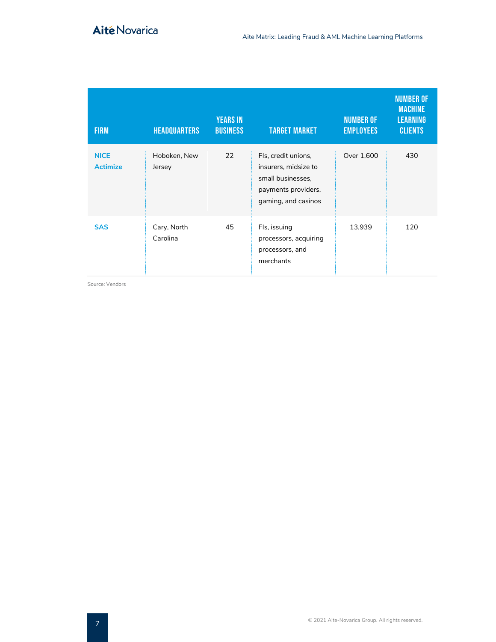| <b>FIRM</b>                    | <b>HEADQUARTERS</b>     | <b>YEARS IN</b><br><b>BUSINESS</b> | <b>TARGET MARKET</b>                                                                                           | <b>NUMBER OF</b><br><b>EMPLOYEES</b> | <b>NUMBER OF</b><br><b>MACHINE</b><br><b>LEARNING</b><br><b>CLIENTS</b> |
|--------------------------------|-------------------------|------------------------------------|----------------------------------------------------------------------------------------------------------------|--------------------------------------|-------------------------------------------------------------------------|
| <b>NICE</b><br><b>Actimize</b> | Hoboken, New<br>Jersey  | 22                                 | Fls, credit unions,<br>insurers, midsize to<br>small businesses,<br>payments providers,<br>gaming, and casinos | Over 1,600                           | 430                                                                     |
| <b>SAS</b>                     | Cary, North<br>Carolina | 45                                 | Fls, issuing<br>processors, acquiring<br>processors, and<br>merchants                                          | 13,939                               | 120                                                                     |

Source: Vendors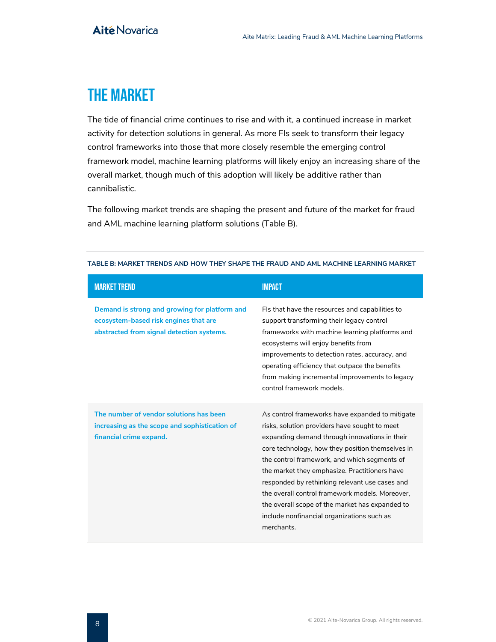# <span id="page-8-0"></span>The Market

The tide of financial crime continues to rise and with it, a continued increase in market activity for detection solutions in general. As more FIs seek to transform their legacy control frameworks into those that more closely resemble the emerging control framework model, machine learning platforms will likely enjoy an increasing share of the overall market, though much of this adoption will likely be additive rather than cannibalistic.

The following market trends are shaping the present and future of the market for fraud and AML machine learning platform solutions (Table B).

| <b>MARKET TREND</b>                                                                                                                 | <b>IMPACT</b>                                                                                                                                                                                                                                                                                                                                                                                                                                                                                                              |
|-------------------------------------------------------------------------------------------------------------------------------------|----------------------------------------------------------------------------------------------------------------------------------------------------------------------------------------------------------------------------------------------------------------------------------------------------------------------------------------------------------------------------------------------------------------------------------------------------------------------------------------------------------------------------|
| Demand is strong and growing for platform and<br>ecosystem-based risk engines that are<br>abstracted from signal detection systems. | FIs that have the resources and capabilities to<br>support transforming their legacy control<br>frameworks with machine learning platforms and<br>ecosystems will enjoy benefits from<br>improvements to detection rates, accuracy, and<br>operating efficiency that outpace the benefits<br>from making incremental improvements to legacy<br>control framework models.                                                                                                                                                   |
| The number of vendor solutions has been<br>increasing as the scope and sophistication of<br>financial crime expand.                 | As control frameworks have expanded to mitigate<br>risks, solution providers have sought to meet<br>expanding demand through innovations in their<br>core technology, how they position themselves in<br>the control framework, and which segments of<br>the market they emphasize. Practitioners have<br>responded by rethinking relevant use cases and<br>the overall control framework models. Moreover.<br>the overall scope of the market has expanded to<br>include nonfinancial organizations such as<br>merchants. |

#### <span id="page-8-1"></span>**TABLE B: MARKET TRENDS AND HOW THEY SHAPE THE FRAUD AND AML MACHINE LEARNING MARKET**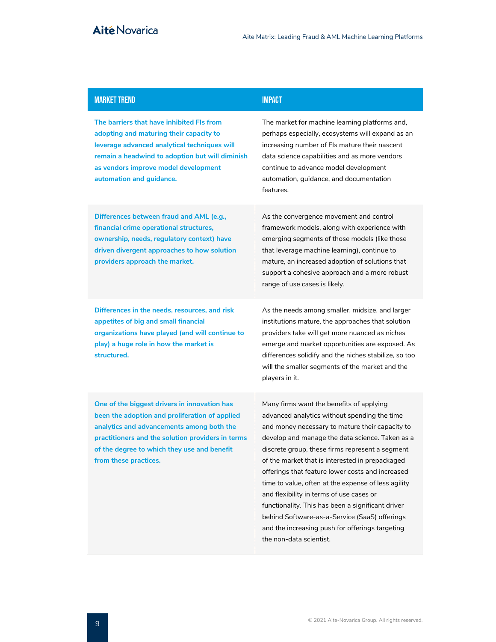## MARKET TREND **IMPACT**

**The barriers that have inhibited FIs from adopting and maturing their capacity to leverage advanced analytical techniques will remain a headwind to adoption but will diminish as vendors improve model development automation and guidance.** 

**Differences between fraud and AML (e.g., financial crime operational structures, ownership, needs, regulatory context) have driven divergent approaches to how solution providers approach the market.**

**Differences in the needs, resources, and risk appetites of big and small financial organizations have played (and will continue to play) a huge role in how the market is structured.**

**One of the biggest drivers in innovation has been the adoption and proliferation of applied analytics and advancements among both the practitioners and the solution providers in terms of the degree to which they use and benefit from these practices.**

The market for machine learning platforms and, perhaps especially, ecosystems will expand as an increasing number of FIs mature their nascent data science capabilities and as more vendors continue to advance model development automation, guidance, and documentation features.

As the convergence movement and control framework models, along with experience with emerging segments of those models (like those that leverage machine learning), continue to mature, an increased adoption of solutions that support a cohesive approach and a more robust range of use cases is likely.

As the needs among smaller, midsize, and larger institutions mature, the approaches that solution providers take will get more nuanced as niches emerge and market opportunities are exposed. As differences solidify and the niches stabilize, so too will the smaller segments of the market and the players in it.

Many firms want the benefits of applying advanced analytics without spending the time and money necessary to mature their capacity to develop and manage the data science. Taken as a discrete group, these firms represent a segment of the market that is interested in prepackaged offerings that feature lower costs and increased time to value, often at the expense of less agility and flexibility in terms of use cases or functionality. This has been a significant driver behind Software-as-a-Service (SaaS) offerings and the increasing push for offerings targeting the non-data scientist.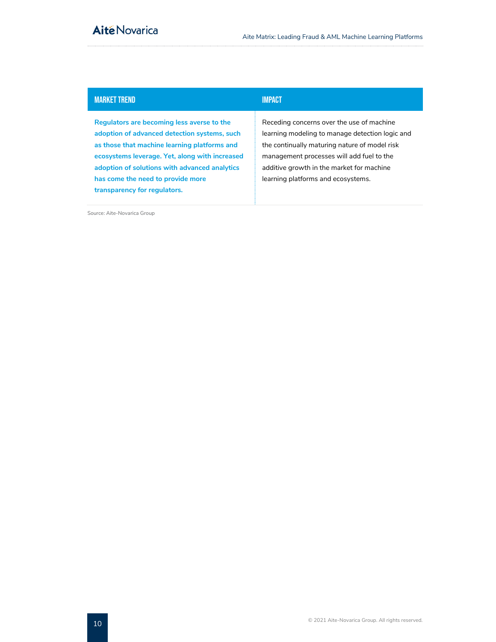# **Aité Novarica**

## MARKET TREND AND THE RESERVE TO A 200 MINUTES OF THE RESERVE TO A 200 MINUTES OF THE RESERVE TO A 200 MINUTES

**Regulators are becoming less averse to the adoption of advanced detection systems, such as those that machine learning platforms and ecosystems leverage. Yet, along with increased adoption of solutions with advanced analytics has come the need to provide more transparency for regulators.**

Receding concerns over the use of machine learning modeling to manage detection logic and the continually maturing nature of model risk management processes will add fuel to the additive growth in the market for machine learning platforms and ecosystems.

Source: Aite-Novarica Group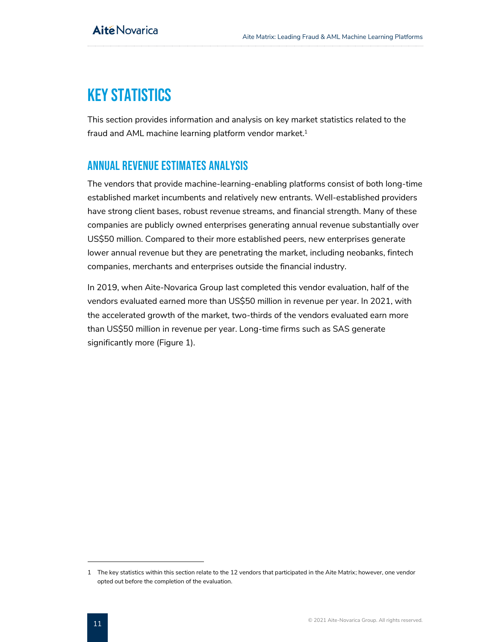# <span id="page-11-0"></span>**KEY STATISTICS**

This section provides information and analysis on key market statistics related to the fraud and AML machine learning platform vendor market.<sup>1</sup>

# <span id="page-11-1"></span>Annual revenue estimates analysis

The vendors that provide machine-learning-enabling platforms consist of both long-time established market incumbents and relatively new entrants. Well-established providers have strong client bases, robust revenue streams, and financial strength. Many of these companies are publicly owned enterprises generating annual revenue substantially over US\$50 million. Compared to their more established peers, new enterprises generate lower annual revenue but they are penetrating the market, including neobanks, fintech companies, merchants and enterprises outside the financial industry.

In 2019, when Aite-Novarica Group last completed this vendor evaluation, half of the vendors evaluated earned more than US\$50 million in revenue per year. In 2021, with the accelerated growth of the market, two-thirds of the vendors evaluated earn more than US\$50 million in revenue per year. Long-time firms such as SAS generate significantly more (Figure 1).

<sup>1</sup> The key statistics within this section relate to the 12 vendors that participated in the Aite Matrix; however, one vendor opted out before the completion of the evaluation.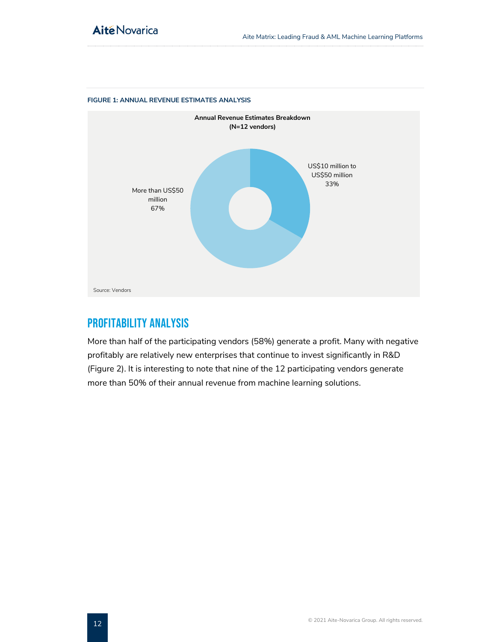

#### <span id="page-12-1"></span>**FIGURE 1: ANNUAL REVENUE ESTIMATES ANALYSIS**

# <span id="page-12-0"></span>PROFITABILITY ANALYSIS

More than half of the participating vendors (58%) generate a profit. Many with negative profitably are relatively new enterprises that continue to invest significantly in R&D (Figure 2). It is interesting to note that nine of the 12 participating vendors generate more than 50% of their annual revenue from machine learning solutions.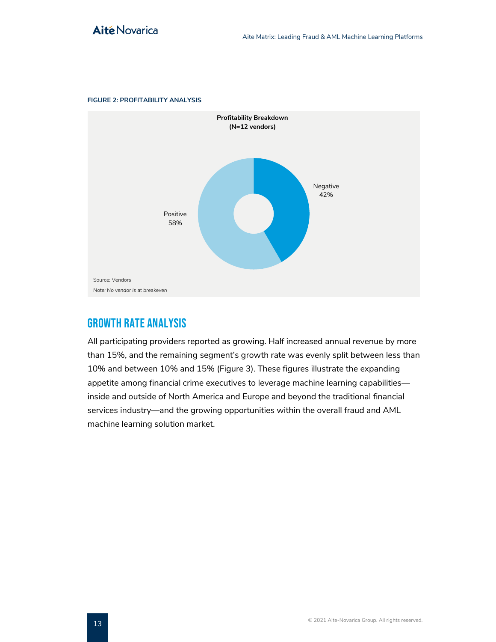

#### <span id="page-13-1"></span>**FIGURE 2: PROFITABILITY ANALYSIS**

# <span id="page-13-0"></span>Growth Rate Analysis

All participating providers reported as growing. Half increased annual revenue by more than 15%, and the remaining segment's growth rate was evenly split between less than 10% and between 10% and 15% (Figure 3). These figures illustrate the expanding appetite among financial crime executives to leverage machine learning capabilities inside and outside of North America and Europe and beyond the traditional financial services industry—and the growing opportunities within the overall fraud and AML machine learning solution market.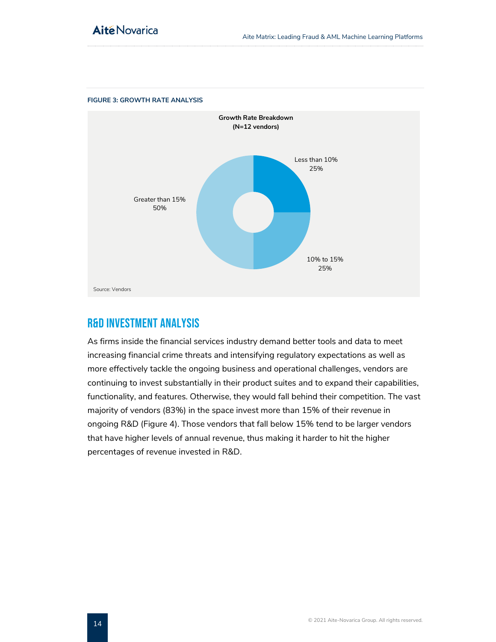

#### <span id="page-14-1"></span>**FIGURE 3: GROWTH RATE ANALYSIS**

# <span id="page-14-0"></span>R&D INVESTMENT ANALYSIS

As firms inside the financial services industry demand better tools and data to meet increasing financial crime threats and intensifying regulatory expectations as well as more effectively tackle the ongoing business and operational challenges, vendors are continuing to invest substantially in their product suites and to expand their capabilities, functionality, and features. Otherwise, they would fall behind their competition. The vast majority of vendors (83%) in the space invest more than 15% of their revenue in ongoing R&D (Figure 4). Those vendors that fall below 15% tend to be larger vendors that have higher levels of annual revenue, thus making it harder to hit the higher percentages of revenue invested in R&D.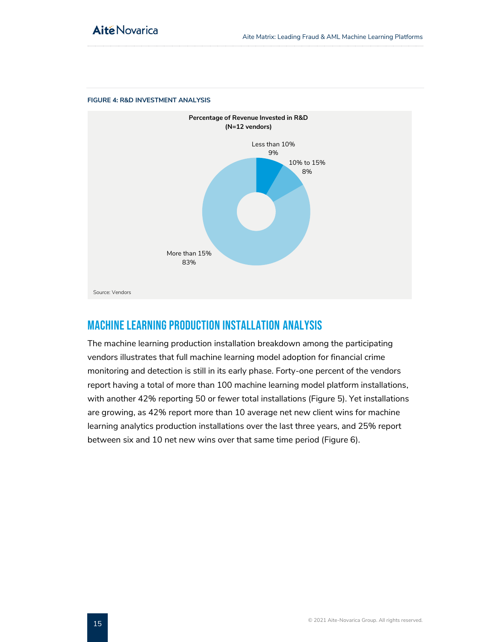

#### <span id="page-15-1"></span>**FIGURE 4: R&D INVESTMENT ANALYSIS**

# <span id="page-15-0"></span>Machine Learning Production Installation Analysis

The machine learning production installation breakdown among the participating vendors illustrates that full machine learning model adoption for financial crime monitoring and detection is still in its early phase. Forty-one percent of the vendors report having a total of more than 100 machine learning model platform installations, with another 42% reporting 50 or fewer total installations (Figure 5). Yet installations are growing, as 42% report more than 10 average net new client wins for machine learning analytics production installations over the last three years, and 25% report between six and 10 net new wins over that same time period (Figure 6).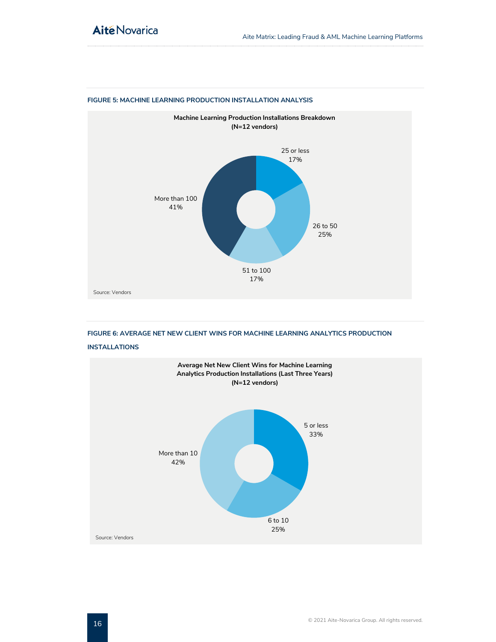

#### <span id="page-16-0"></span>**FIGURE 5: MACHINE LEARNING PRODUCTION INSTALLATION ANALYSIS**

<span id="page-16-1"></span>**FIGURE 6: AVERAGE NET NEW CLIENT WINS FOR MACHINE LEARNING ANALYTICS PRODUCTION** 



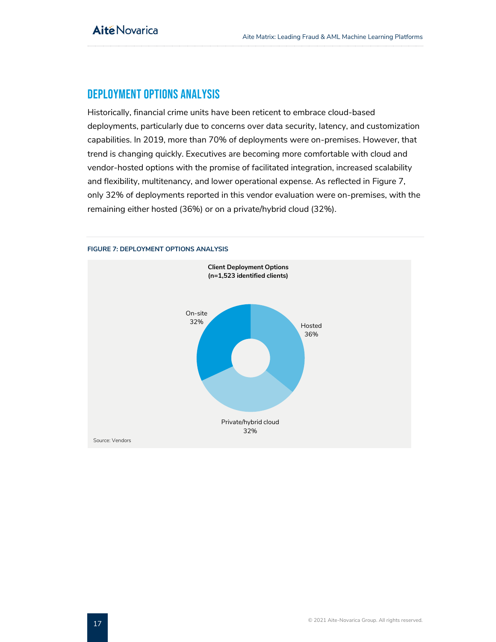# <span id="page-17-0"></span>deployment options analysis

Historically, financial crime units have been reticent to embrace cloud-based deployments, particularly due to concerns over data security, latency, and customization capabilities. In 2019, more than 70% of deployments were on-premises. However, that trend is changing quickly. Executives are becoming more comfortable with cloud and vendor-hosted options with the promise of facilitated integration, increased scalability and flexibility, multitenancy, and lower operational expense. As reflected in Figure 7, only 32% of deployments reported in this vendor evaluation were on-premises, with the remaining either hosted (36%) or on a private/hybrid cloud (32%).

<span id="page-17-1"></span>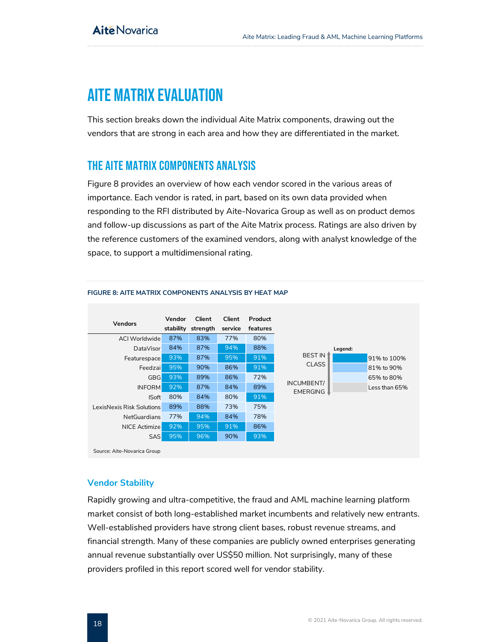# <span id="page-18-0"></span>Aite Matrix evaluation

This section breaks down the individual Aite Matrix components, drawing out the vendors that are strong in each area and how they are differentiated in the market.

# <span id="page-18-1"></span>The Aite Matrix components analysis

Figure 8 provides an overview of how each vendor scored in the various areas of importance. Each vendor is rated, in part, based on its own data provided when responding to the RFI distributed by Aite-Novarica Group as well as on product demos and follow-up discussions as part of the Aite Matrix process. Ratings are also driven by the reference customers of the examined vendors, along with analyst knowledge of the space, to support a multidimensional rating.



#### <span id="page-18-2"></span>**FIGURE 8: AITE MATRIX COMPONENTS ANALYSIS BY HEAT MAP**

## **Vendor Stability**

Rapidly growing and ultra-competitive, the fraud and AML machine learning platform market consist of both long-established market incumbents and relatively new entrants. Well-established providers have strong client bases, robust revenue streams, and financial strength. Many of these companies are publicly owned enterprises generating annual revenue substantially over US\$50 million. Not surprisingly, many of these providers profiled in this report scored well for vendor stability.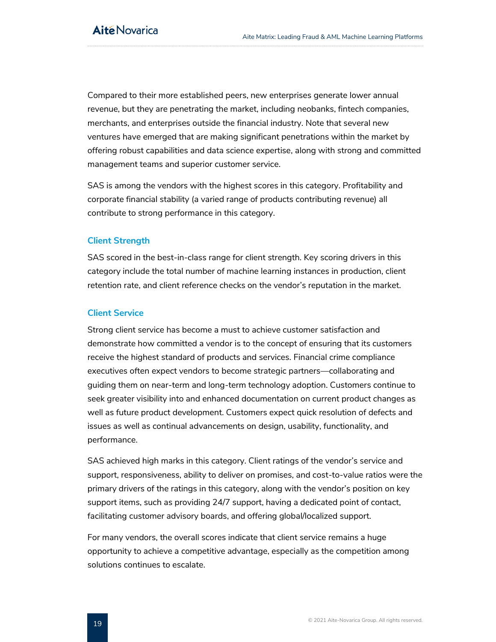Compared to their more established peers, new enterprises generate lower annual revenue, but they are penetrating the market, including neobanks, fintech companies, merchants, and enterprises outside the financial industry. Note that several new ventures have emerged that are making significant penetrations within the market by offering robust capabilities and data science expertise, along with strong and committed management teams and superior customer service.

SAS is among the vendors with the highest scores in this category. Profitability and corporate financial stability (a varied range of products contributing revenue) all contribute to strong performance in this category.

#### **Client Strength**

SAS scored in the best-in-class range for client strength. Key scoring drivers in this category include the total number of machine learning instances in production, client retention rate, and client reference checks on the vendor's reputation in the market.

### **Client Service**

Strong client service has become a must to achieve customer satisfaction and demonstrate how committed a vendor is to the concept of ensuring that its customers receive the highest standard of products and services. Financial crime compliance executives often expect vendors to become strategic partners—collaborating and guiding them on near-term and long-term technology adoption. Customers continue to seek greater visibility into and enhanced documentation on current product changes as well as future product development. Customers expect quick resolution of defects and issues as well as continual advancements on design, usability, functionality, and performance.

SAS achieved high marks in this category. Client ratings of the vendor's service and support, responsiveness, ability to deliver on promises, and cost-to-value ratios were the primary drivers of the ratings in this category, along with the vendor's position on key support items, such as providing 24/7 support, having a dedicated point of contact, facilitating customer advisory boards, and offering global/localized support.

For many vendors, the overall scores indicate that client service remains a huge opportunity to achieve a competitive advantage, especially as the competition among solutions continues to escalate.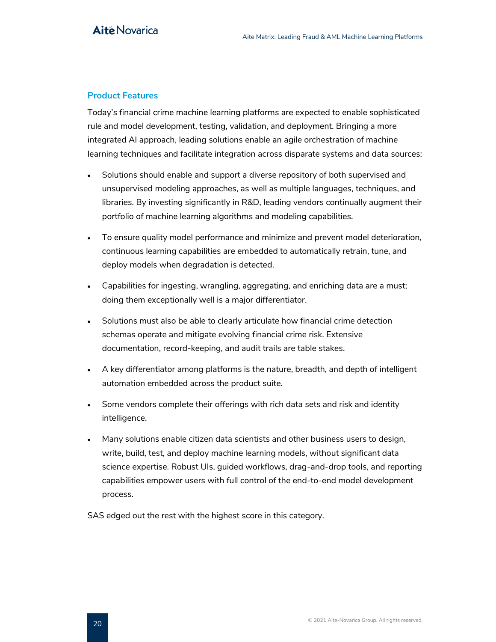## **Product Features**

Today's financial crime machine learning platforms are expected to enable sophisticated rule and model development, testing, validation, and deployment. Bringing a more integrated AI approach, leading solutions enable an agile orchestration of machine learning techniques and facilitate integration across disparate systems and data sources:

- Solutions should enable and support a diverse repository of both supervised and unsupervised modeling approaches, as well as multiple languages, techniques, and libraries. By investing significantly in R&D, leading vendors continually augment their portfolio of machine learning algorithms and modeling capabilities.
- To ensure quality model performance and minimize and prevent model deterioration, continuous learning capabilities are embedded to automatically retrain, tune, and deploy models when degradation is detected.
- Capabilities for ingesting, wrangling, aggregating, and enriching data are a must; doing them exceptionally well is a major differentiator.
- Solutions must also be able to clearly articulate how financial crime detection schemas operate and mitigate evolving financial crime risk. Extensive documentation, record-keeping, and audit trails are table stakes.
- A key differentiator among platforms is the nature, breadth, and depth of intelligent automation embedded across the product suite.
- Some vendors complete their offerings with rich data sets and risk and identity intelligence.
- Many solutions enable citizen data scientists and other business users to design, write, build, test, and deploy machine learning models, without significant data science expertise. Robust UIs, guided workflows, drag-and-drop tools, and reporting capabilities empower users with full control of the end-to-end model development process.

<span id="page-20-0"></span>SAS edged out the rest with the highest score in this category.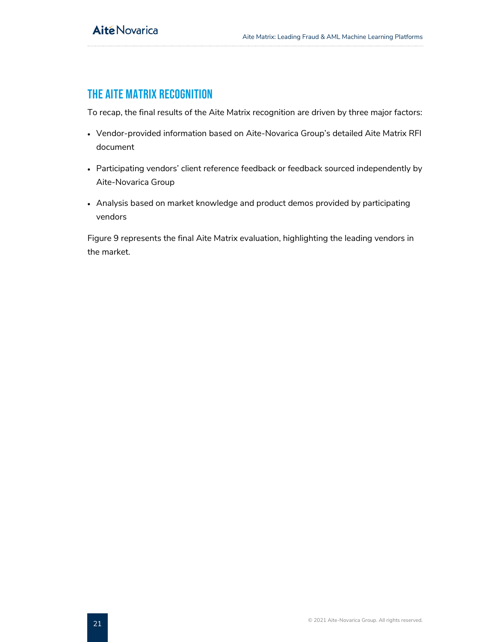# The Aite Matrix recognition

To recap, the final results of the Aite Matrix recognition are driven by three major factors:

- Vendor-provided information based on Aite-Novarica Group's detailed Aite Matrix RFI document
- Participating vendors' client reference feedback or feedback sourced independently by Aite-Novarica Group
- Analysis based on market knowledge and product demos provided by participating vendors

Figure 9 represents the final Aite Matrix evaluation, highlighting the leading vendors in the market.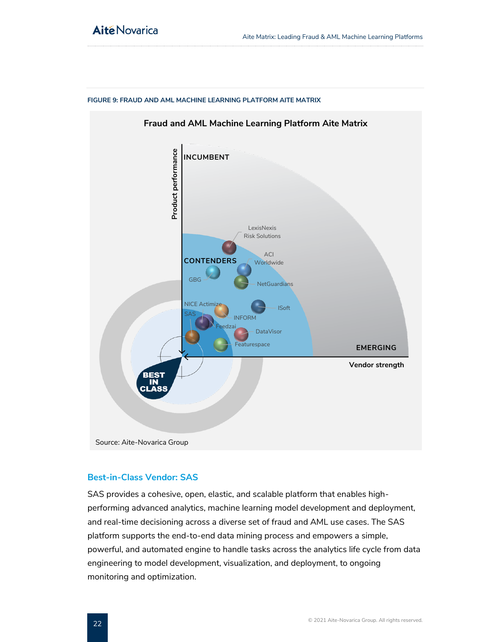

#### <span id="page-22-0"></span>**FIGURE 9: FRAUD AND AML MACHINE LEARNING PLATFORM AITE MATRIX**

#### **Best-in-Class Vendor: SAS**

SAS provides a cohesive, open, elastic, and scalable platform that enables highperforming advanced analytics, machine learning model development and deployment, and real-time decisioning across a diverse set of fraud and AML use cases. The SAS platform supports the end-to-end data mining process and empowers a simple, powerful, and automated engine to handle tasks across the analytics life cycle from data engineering to model development, visualization, and deployment, to ongoing monitoring and optimization.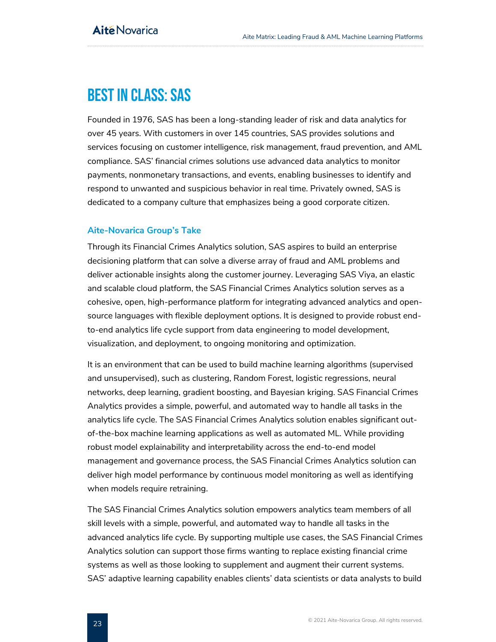# <span id="page-23-0"></span>Best in Class: SAS

Founded in 1976, SAS has been a long-standing leader of risk and data analytics for over 45 years. With customers in over 145 countries, SAS provides solutions and services focusing on customer intelligence, risk management, fraud prevention, and AML compliance. SAS' financial crimes solutions use advanced data analytics to monitor payments, nonmonetary transactions, and events, enabling businesses to identify and respond to unwanted and suspicious behavior in real time. Privately owned, SAS is dedicated to a company culture that emphasizes being a good corporate citizen.

## **Aite-Novarica Group's Take**

Through its Financial Crimes Analytics solution, SAS aspires to build an enterprise decisioning platform that can solve a diverse array of fraud and AML problems and deliver actionable insights along the customer journey. Leveraging SAS Viya, an elastic and scalable cloud platform, the SAS Financial Crimes Analytics solution serves as a cohesive, open, high-performance platform for integrating advanced analytics and opensource languages with flexible deployment options. It is designed to provide robust endto-end analytics life cycle support from data engineering to model development, visualization, and deployment, to ongoing monitoring and optimization.

It is an environment that can be used to build machine learning algorithms (supervised and unsupervised), such as clustering, Random Forest, logistic regressions, neural networks, deep learning, gradient boosting, and Bayesian kriging. SAS Financial Crimes Analytics provides a simple, powerful, and automated way to handle all tasks in the analytics life cycle. The SAS Financial Crimes Analytics solution enables significant outof-the-box machine learning applications as well as automated ML. While providing robust model explainability and interpretability across the end-to-end model management and governance process, the SAS Financial Crimes Analytics solution can deliver high model performance by continuous model monitoring as well as identifying when models require retraining.

The SAS Financial Crimes Analytics solution empowers analytics team members of all skill levels with a simple, powerful, and automated way to handle all tasks in the advanced analytics life cycle. By supporting multiple use cases, the SAS Financial Crimes Analytics solution can support those firms wanting to replace existing financial crime systems as well as those looking to supplement and augment their current systems. SAS' adaptive learning capability enables clients' data scientists or data analysts to build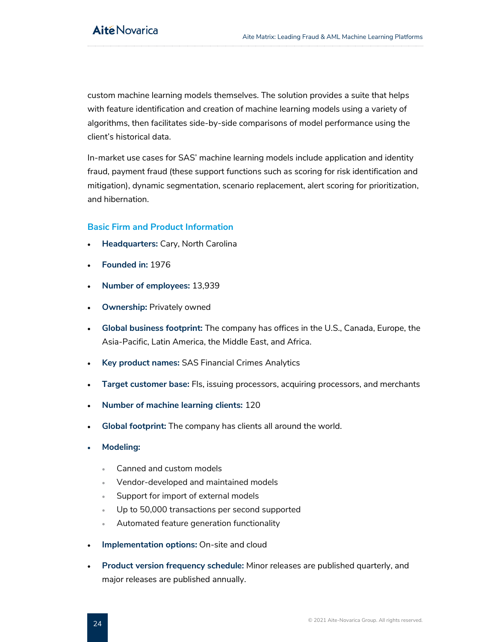custom machine learning models themselves. The solution provides a suite that helps with feature identification and creation of machine learning models using a variety of algorithms, then facilitates side-by-side comparisons of model performance using the client's historical data.

In-market use cases for SAS' machine learning models include application and identity fraud, payment fraud (these support functions such as scoring for risk identification and mitigation), dynamic segmentation, scenario replacement, alert scoring for prioritization, and hibernation.

## **Basic Firm and Product Information**

- **Headquarters:** Cary, North Carolina
- **Founded in:** 1976
- **Number of employees:** 13,939
- **Ownership: Privately owned**
- **Global business footprint:** The company has offices in the U.S., Canada, Europe, the Asia-Pacific, Latin America, the Middle East, and Africa.
- **Key product names:** SAS Financial Crimes Analytics
- **Target customer base:** FIs, issuing processors, acquiring processors, and merchants
- **Number of machine learning clients:** 120
- **Global footprint:** The company has clients all around the world.
- **Modeling:**
	- Canned and custom models
	- Vendor-developed and maintained models
	- Support for import of external models
	- Up to 50,000 transactions per second supported
	- Automated feature generation functionality
- **Implementation options:** On-site and cloud
- **Product version frequency schedule:** Minor releases are published quarterly, and major releases are published annually.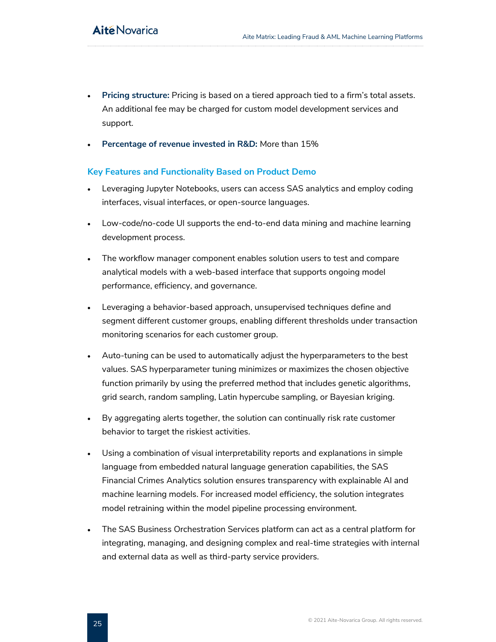- **Pricing structure:** Pricing is based on a tiered approach tied to a firm's total assets. An additional fee may be charged for custom model development services and support.
- **Percentage of revenue invested in R&D:** More than 15%

## **Key Features and Functionality Based on Product Demo**

- Leveraging Jupyter Notebooks, users can access SAS analytics and employ coding interfaces, visual interfaces, or open-source languages.
- Low-code/no-code UI supports the end-to-end data mining and machine learning development process.
- The workflow manager component enables solution users to test and compare analytical models with a web-based interface that supports ongoing model performance, efficiency, and governance.
- Leveraging a behavior-based approach, unsupervised techniques define and segment different customer groups, enabling different thresholds under transaction monitoring scenarios for each customer group.
- Auto-tuning can be used to automatically adjust the hyperparameters to the best values. SAS hyperparameter tuning minimizes or maximizes the chosen objective function primarily by using the preferred method that includes genetic algorithms, grid search, random sampling, Latin hypercube sampling, or Bayesian kriging.
- By aggregating alerts together, the solution can continually risk rate customer behavior to target the riskiest activities.
- Using a combination of visual interpretability reports and explanations in simple language from embedded natural language generation capabilities, the SAS Financial Crimes Analytics solution ensures transparency with explainable AI and machine learning models. For increased model efficiency, the solution integrates model retraining within the model pipeline processing environment.
- The SAS Business Orchestration Services platform can act as a central platform for integrating, managing, and designing complex and real-time strategies with internal and external data as well as third-party service providers.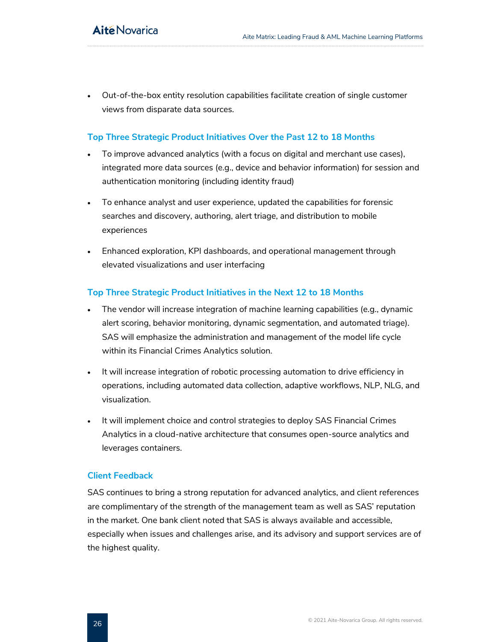• Out-of-the-box entity resolution capabilities facilitate creation of single customer views from disparate data sources.

## **Top Three Strategic Product Initiatives Over the Past 12 to 18 Months**

- To improve advanced analytics (with a focus on digital and merchant use cases), integrated more data sources (e.g., device and behavior information) for session and authentication monitoring (including identity fraud)
- To enhance analyst and user experience, updated the capabilities for forensic searches and discovery, authoring, alert triage, and distribution to mobile experiences
- Enhanced exploration, KPI dashboards, and operational management through elevated visualizations and user interfacing

## **Top Three Strategic Product Initiatives in the Next 12 to 18 Months**

- The vendor will increase integration of machine learning capabilities (e.g., dynamic alert scoring, behavior monitoring, dynamic segmentation, and automated triage). SAS will emphasize the administration and management of the model life cycle within its Financial Crimes Analytics solution.
- It will increase integration of robotic processing automation to drive efficiency in operations, including automated data collection, adaptive workflows, NLP, NLG, and visualization.
- It will implement choice and control strategies to deploy SAS Financial Crimes Analytics in a cloud-native architecture that consumes open-source analytics and leverages containers.

## **Client Feedback**

SAS continues to bring a strong reputation for advanced analytics, and client references are complimentary of the strength of the management team as well as SAS' reputation in the market. One bank client noted that SAS is always available and accessible, especially when issues and challenges arise, and its advisory and support services are of the highest quality.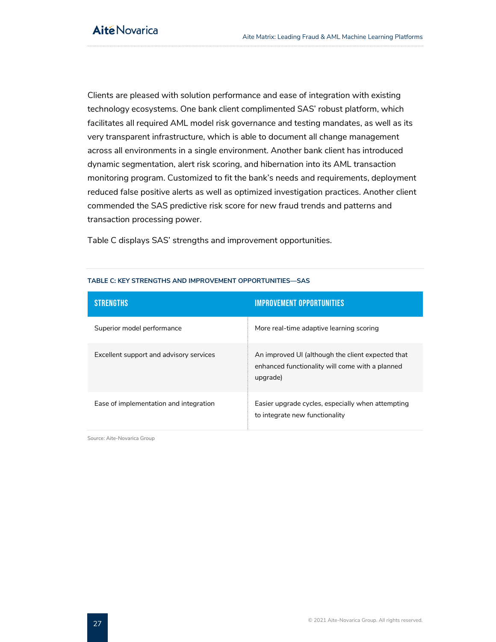Clients are pleased with solution performance and ease of integration with existing technology ecosystems. One bank client complimented SAS' robust platform, which facilitates all required AML model risk governance and testing mandates, as well as its very transparent infrastructure, which is able to document all change management across all environments in a single environment. Another bank client has introduced dynamic segmentation, alert risk scoring, and hibernation into its AML transaction monitoring program. Customized to fit the bank's needs and requirements, deployment reduced false positive alerts as well as optimized investigation practices. Another client commended the SAS predictive risk score for new fraud trends and patterns and transaction processing power.

<span id="page-27-0"></span>Table C displays SAS' strengths and improvement opportunities.

| <b>STRENGTHS</b>                        | <b>IMPROVEMENT OPPORTUNITIES</b>                                                                                 |
|-----------------------------------------|------------------------------------------------------------------------------------------------------------------|
| Superior model performance              | More real-time adaptive learning scoring                                                                         |
| Excellent support and advisory services | An improved UI (although the client expected that<br>enhanced functionality will come with a planned<br>upgrade) |
| Ease of implementation and integration  | Easier upgrade cycles, especially when attempting<br>to integrate new functionality                              |

#### **TABLE C: KEY STRENGTHS AND IMPROVEMENT OPPORTUNITIES—SAS**

Source: Aite-Novarica Group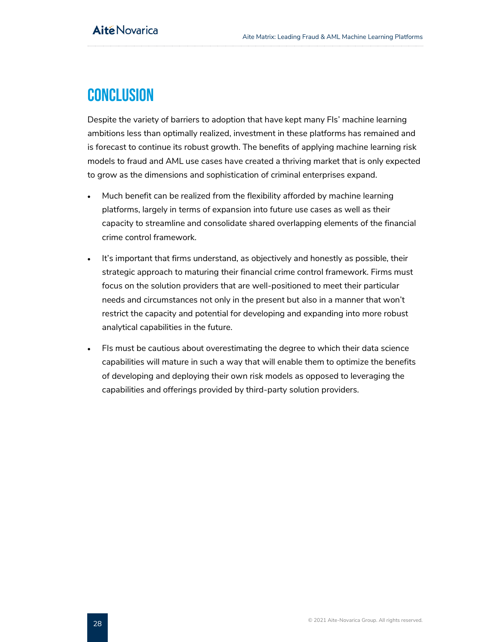# <span id="page-28-0"></span>**CONCLUSION**

Despite the variety of barriers to adoption that have kept many FIs' machine learning ambitions less than optimally realized, investment in these platforms has remained and is forecast to continue its robust growth. The benefits of applying machine learning risk models to fraud and AML use cases have created a thriving market that is only expected to grow as the dimensions and sophistication of criminal enterprises expand.

- Much benefit can be realized from the flexibility afforded by machine learning platforms, largely in terms of expansion into future use cases as well as their capacity to streamline and consolidate shared overlapping elements of the financial crime control framework.
- It's important that firms understand, as objectively and honestly as possible, their strategic approach to maturing their financial crime control framework. Firms must focus on the solution providers that are well-positioned to meet their particular needs and circumstances not only in the present but also in a manner that won't restrict the capacity and potential for developing and expanding into more robust analytical capabilities in the future.
- FIs must be cautious about overestimating the degree to which their data science capabilities will mature in such a way that will enable them to optimize the benefits of developing and deploying their own risk models as opposed to leveraging the capabilities and offerings provided by third-party solution providers.